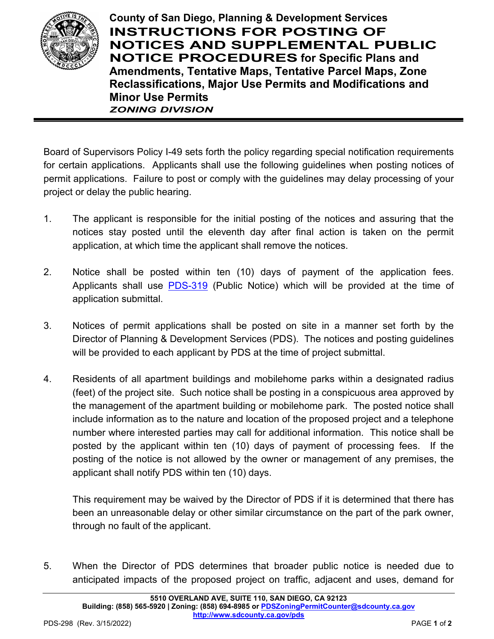

**County of San Diego, Planning & Development Services INSTRUCTIONS FOR POSTING OF NOTICES AND SUPPLEMENTAL PUBLIC NOTICE PROCEDURES for Specific Plans and Amendments, Tentative Maps, Tentative Parcel Maps, Zone Reclassifications, Major Use Permits and Modifications and Minor Use Permits** *ZONING DIVISION*

Board of Supervisors Policy I-49 sets forth the policy regarding special notification requirements for certain applications. Applicants shall use the following guidelines when posting notices of permit applications. Failure to post or comply with the guidelines may delay processing of your project or delay the public hearing.

- 1. The applicant is responsible for the initial posting of the notices and assuring that the notices stay posted until the eleventh day after final action is taken on the permit application, at which time the applicant shall remove the notices.
- 2. Notice shall be posted within ten (10) days of payment of the application fees. Applicants shall use [PDS-319](https://www.sandiegocounty.gov/content/dam/sdc/pds/zoning/formfields/PDS-PLN-319.pdf) (Public Notice) which will be provided at the time of application submittal.
- 3. Notices of permit applications shall be posted on site in a manner set forth by the Director of Planning & Development Services (PDS). The notices and posting guidelines will be provided to each applicant by PDS at the time of project submittal.
- 4. Residents of all apartment buildings and mobilehome parks within a designated radius (feet) of the project site. Such notice shall be posting in a conspicuous area approved by the management of the apartment building or mobilehome park. The posted notice shall include information as to the nature and location of the proposed project and a telephone number where interested parties may call for additional information. This notice shall be posted by the applicant within ten (10) days of payment of processing fees. If the posting of the notice is not allowed by the owner or management of any premises, the applicant shall notify PDS within ten (10) days.

This requirement may be waived by the Director of PDS if it is determined that there has been an unreasonable delay or other similar circumstance on the part of the park owner, through no fault of the applicant.

5. When the Director of PDS determines that broader public notice is needed due to anticipated impacts of the proposed project on traffic, adjacent and uses, demand for